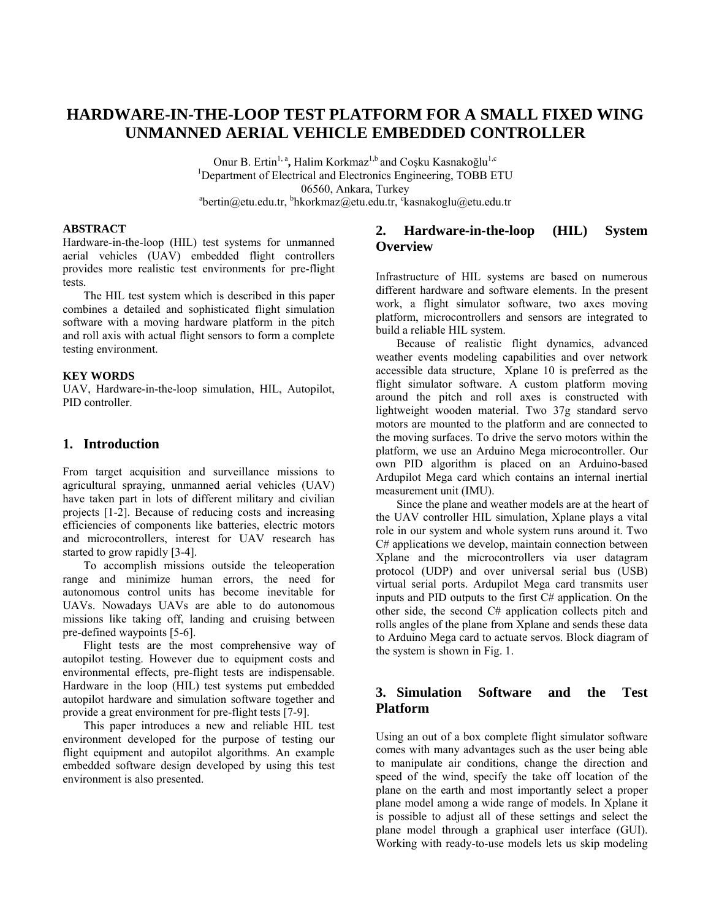# **HARDWARE-IN-THE-LOOP TEST PLATFORM FOR A SMALL FIXED WING UNMANNED AERIAL VEHICLE EMBEDDED CONTROLLER**

Onur B. Ertin<sup>1, a</sup>, Halim Korkmaz<sup>1,b</sup> and Cosku Kasnakoğlu<sup>1,c</sup> <sup>1</sup>Department of Electrical and Electronics Engineering, TOBB ETU 06560, Ankara, Turkey<br><sup>a</sup>bertin@etu.edu.tr, <sup>b</sup>hkorkmaz@etu.edu.tr, <sup>c</sup>kasnakoglu@etu.edu.tr

### **ABSTRACT**

Hardware-in-the-loop (HIL) test systems for unmanned aerial vehicles (UAV) embedded flight controllers provides more realistic test environments for pre-flight tests.

 The HIL test system which is described in this paper combines a detailed and sophisticated flight simulation software with a moving hardware platform in the pitch and roll axis with actual flight sensors to form a complete testing environment.

### **KEY WORDS**

UAV, Hardware-in-the-loop simulation, HIL, Autopilot, PID controller.

### **1. Introduction**

From target acquisition and surveillance missions to agricultural spraying, unmanned aerial vehicles (UAV) have taken part in lots of different military and civilian projects [1-2]. Because of reducing costs and increasing efficiencies of components like batteries, electric motors and microcontrollers, interest for UAV research has started to grow rapidly [3-4].

 To accomplish missions outside the teleoperation range and minimize human errors, the need for autonomous control units has become inevitable for UAVs. Nowadays UAVs are able to do autonomous missions like taking off, landing and cruising between pre-defined waypoints [5-6].

 Flight tests are the most comprehensive way of autopilot testing. However due to equipment costs and environmental effects, pre-flight tests are indispensable. Hardware in the loop (HIL) test systems put embedded autopilot hardware and simulation software together and provide a great environment for pre-flight tests [7-9].

 This paper introduces a new and reliable HIL test environment developed for the purpose of testing our flight equipment and autopilot algorithms. An example embedded software design developed by using this test environment is also presented.

## **2. Hardware-in-the-loop (HIL) System Overview**

Infrastructure of HIL systems are based on numerous different hardware and software elements. In the present work, a flight simulator software, two axes moving platform, microcontrollers and sensors are integrated to build a reliable HIL system.

 Because of realistic flight dynamics, advanced weather events modeling capabilities and over network accessible data structure, Xplane 10 is preferred as the flight simulator software. A custom platform moving around the pitch and roll axes is constructed with lightweight wooden material. Two 37g standard servo motors are mounted to the platform and are connected to the moving surfaces. To drive the servo motors within the platform, we use an Arduino Mega microcontroller. Our own PID algorithm is placed on an Arduino-based Ardupilot Mega card which contains an internal inertial measurement unit (IMU).

 Since the plane and weather models are at the heart of the UAV controller HIL simulation, Xplane plays a vital role in our system and whole system runs around it. Two C# applications we develop, maintain connection between Xplane and the microcontrollers via user datagram protocol (UDP) and over universal serial bus (USB) virtual serial ports. Ardupilot Mega card transmits user inputs and PID outputs to the first C# application. On the other side, the second C# application collects pitch and rolls angles of the plane from Xplane and sends these data to Arduino Mega card to actuate servos. Block diagram of the system is shown in Fig. 1.

# **3. Simulation Software and the Test Platform**

Using an out of a box complete flight simulator software comes with many advantages such as the user being able to manipulate air conditions, change the direction and speed of the wind, specify the take off location of the plane on the earth and most importantly select a proper plane model among a wide range of models. In Xplane it is possible to adjust all of these settings and select the plane model through a graphical user interface (GUI). Working with ready-to-use models lets us skip modeling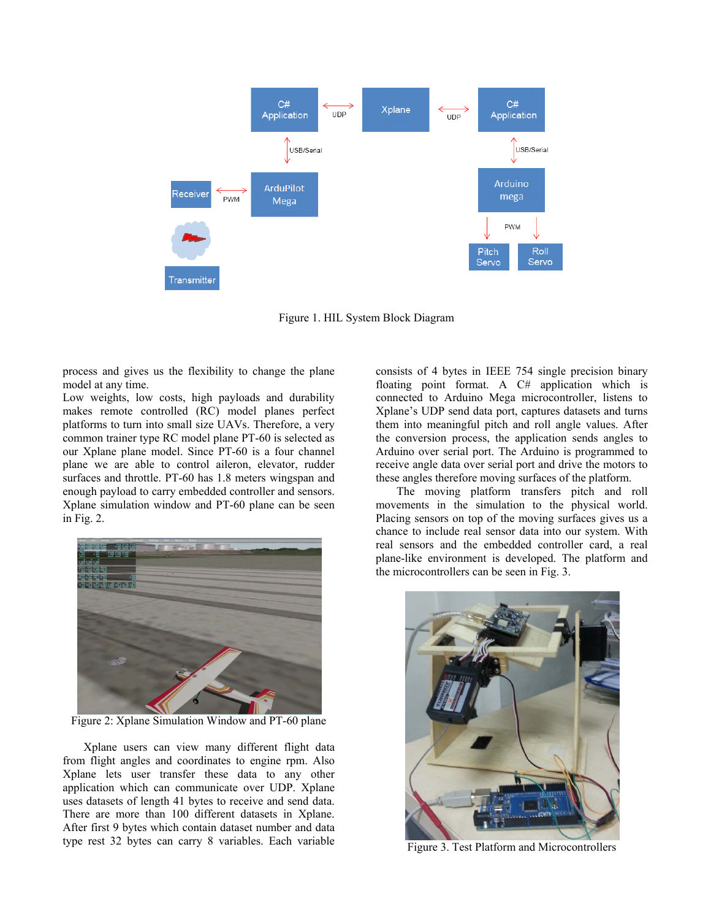

Figure 1. HIL System Block Diagram

process and gives us the flexibility to change the plane model at any time.

Low weights, low costs, high payloads and durability makes remote controlled (RC) model planes perfect platforms to turn into small size UAVs. Therefore, a very common trainer type RC model plane PT-60 is selected as our Xplane plane model. Since PT-60 is a four channel plane we are able to control aileron, elevator, rudder surfaces and throttle. PT-60 has 1.8 meters wingspan and enough payload to carry embedded controller and sensors. Xplane simulation window and PT-60 plane can be seen in Fig. 2.



Figure 2: Xplane Simulation Window and PT-60 plane

 Xplane users can view many different flight data from flight angles and coordinates to engine rpm. Also Xplane lets user transfer these data to any other application which can communicate over UDP. Xplane uses datasets of length 41 bytes to receive and send data. There are more than 100 different datasets in Xplane. After first 9 bytes which contain dataset number and data type rest 32 bytes can carry 8 variables. Each variable

consists of 4 bytes in IEEE 754 single precision binary floating point format. A C# application which is connected to Arduino Mega microcontroller, listens to Xplane's UDP send data port, captures datasets and turns them into meaningful pitch and roll angle values. After the conversion process, the application sends angles to Arduino over serial port. The Arduino is programmed to receive angle data over serial port and drive the motors to these angles therefore moving surfaces of the platform.

 The moving platform transfers pitch and roll movements in the simulation to the physical world. Placing sensors on top of the moving surfaces gives us a chance to include real sensor data into our system. With real sensors and the embedded controller card, a real plane-like environment is developed. The platform and the microcontrollers can be seen in Fig. 3.



Figure 3. Test Platform and Microcontrollers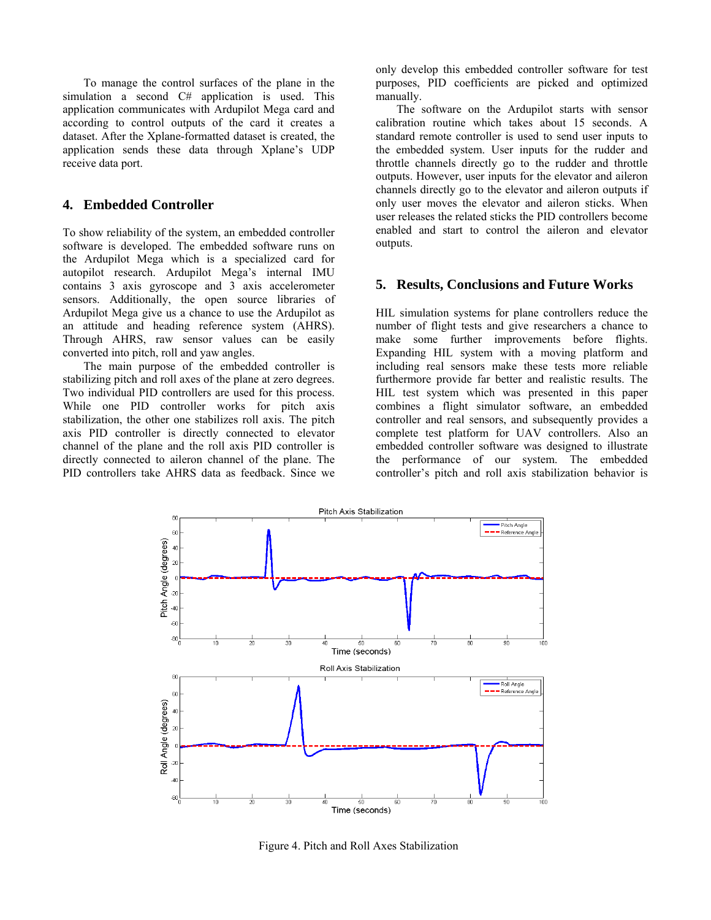To manage the control surfaces of the plane in the simulation a second C# application is used. This application communicates with Ardupilot Mega card and according to control outputs of the card it creates a dataset. After the Xplane-formatted dataset is created, the application sends these data through Xplane's UDP receive data port.

### **4. Embedded Controller**

To show reliability of the system, an embedded controller software is developed. The embedded software runs on the Ardupilot Mega which is a specialized card for autopilot research. Ardupilot Mega's internal IMU contains 3 axis gyroscope and 3 axis accelerometer sensors. Additionally, the open source libraries of Ardupilot Mega give us a chance to use the Ardupilot as an attitude and heading reference system (AHRS). Through AHRS, raw sensor values can be easily converted into pitch, roll and yaw angles.

 The main purpose of the embedded controller is stabilizing pitch and roll axes of the plane at zero degrees. Two individual PID controllers are used for this process. While one PID controller works for pitch axis stabilization, the other one stabilizes roll axis. The pitch axis PID controller is directly connected to elevator channel of the plane and the roll axis PID controller is directly connected to aileron channel of the plane. The PID controllers take AHRS data as feedback. Since we

only develop this embedded controller software for test purposes, PID coefficients are picked and optimized manually.

 The software on the Ardupilot starts with sensor calibration routine which takes about 15 seconds. A standard remote controller is used to send user inputs to the embedded system. User inputs for the rudder and throttle channels directly go to the rudder and throttle outputs. However, user inputs for the elevator and aileron channels directly go to the elevator and aileron outputs if only user moves the elevator and aileron sticks. When user releases the related sticks the PID controllers become enabled and start to control the aileron and elevator outputs.

### **5. Results, Conclusions and Future Works**

HIL simulation systems for plane controllers reduce the number of flight tests and give researchers a chance to make some further improvements before flights. Expanding HIL system with a moving platform and including real sensors make these tests more reliable furthermore provide far better and realistic results. The HIL test system which was presented in this paper combines a flight simulator software, an embedded controller and real sensors, and subsequently provides a complete test platform for UAV controllers. Also an embedded controller software was designed to illustrate the performance of our system. The embedded controller's pitch and roll axis stabilization behavior is



Figure 4. Pitch and Roll Axes Stabilization